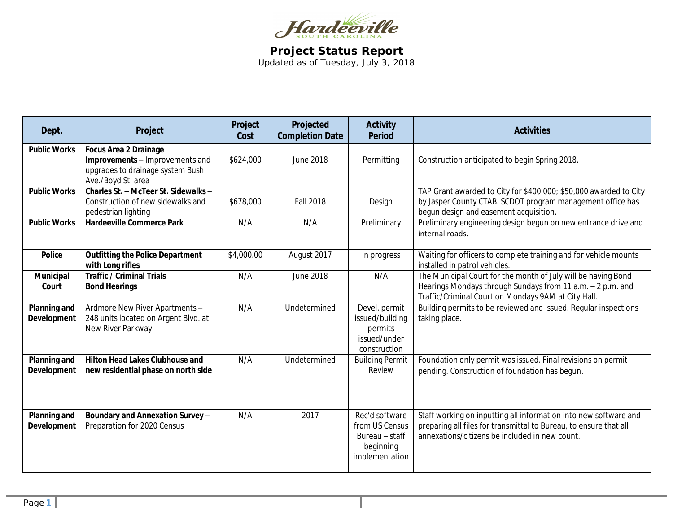

**Project Status Report** Updated as of Tuesday, July 3, 2018

| Dept.                              | Project                                                                                                                   | Project<br>Cost | Projected<br><b>Completion Date</b> | <b>Activity</b><br><b>Period</b>                                                  | <b>Activities</b>                                                                                                                                                                       |
|------------------------------------|---------------------------------------------------------------------------------------------------------------------------|-----------------|-------------------------------------|-----------------------------------------------------------------------------------|-----------------------------------------------------------------------------------------------------------------------------------------------------------------------------------------|
| <b>Public Works</b>                | <b>Focus Area 2 Drainage</b><br>Improvements - Improvements and<br>upgrades to drainage system Bush<br>Ave./Boyd St. area | \$624,000       | June 2018                           | Permitting                                                                        | Construction anticipated to begin Spring 2018.                                                                                                                                          |
| <b>Public Works</b>                | Charles St. - McTeer St. Sidewalks -<br>Construction of new sidewalks and<br>pedestrian lighting                          | \$678,000       | <b>Fall 2018</b>                    | Design                                                                            | TAP Grant awarded to City for \$400,000; \$50,000 awarded to City<br>by Jasper County CTAB. SCDOT program management office has<br>begun design and easement acquisition.               |
| <b>Public Works</b>                | <b>Hardeeville Commerce Park</b>                                                                                          | N/A             | N/A                                 | Preliminary                                                                       | Preliminary engineering design begun on new entrance drive and<br>internal roads.                                                                                                       |
| <b>Police</b>                      | <b>Outfitting the Police Department</b><br>with Long rifles                                                               | \$4,000.00      | August 2017                         | In progress                                                                       | Waiting for officers to complete training and for vehicle mounts<br>installed in patrol vehicles.                                                                                       |
| Municipal<br>Court                 | <b>Traffic / Criminal Trials</b><br><b>Bond Hearings</b>                                                                  | N/A             | <b>June 2018</b>                    | N/A                                                                               | The Municipal Court for the month of July will be having Bond<br>Hearings Mondays through Sundays from 11 a.m. - 2 p.m. and<br>Traffic/Criminal Court on Mondays 9AM at City Hall.      |
| <b>Planning and</b><br>Development | Ardmore New River Apartments -<br>248 units located on Argent Blvd. at<br>New River Parkway                               | N/A             | Undetermined                        | Devel. permit<br>issued/building<br>permits<br>issued/under<br>construction       | Building permits to be reviewed and issued. Regular inspections<br>taking place.                                                                                                        |
| Planning and<br><b>Development</b> | <b>Hilton Head Lakes Clubhouse and</b><br>new residential phase on north side                                             | N/A             | Undetermined                        | <b>Building Permit</b><br>Review                                                  | Foundation only permit was issued. Final revisions on permit<br>pending. Construction of foundation has begun.                                                                          |
| Planning and<br><b>Development</b> | Boundary and Annexation Survey-<br>Preparation for 2020 Census                                                            | N/A             | 2017                                | Rec'd software<br>from US Census<br>Bureau - staff<br>beginning<br>implementation | Staff working on inputting all information into new software and<br>preparing all files for transmittal to Bureau, to ensure that all<br>annexations/citizens be included in new count. |